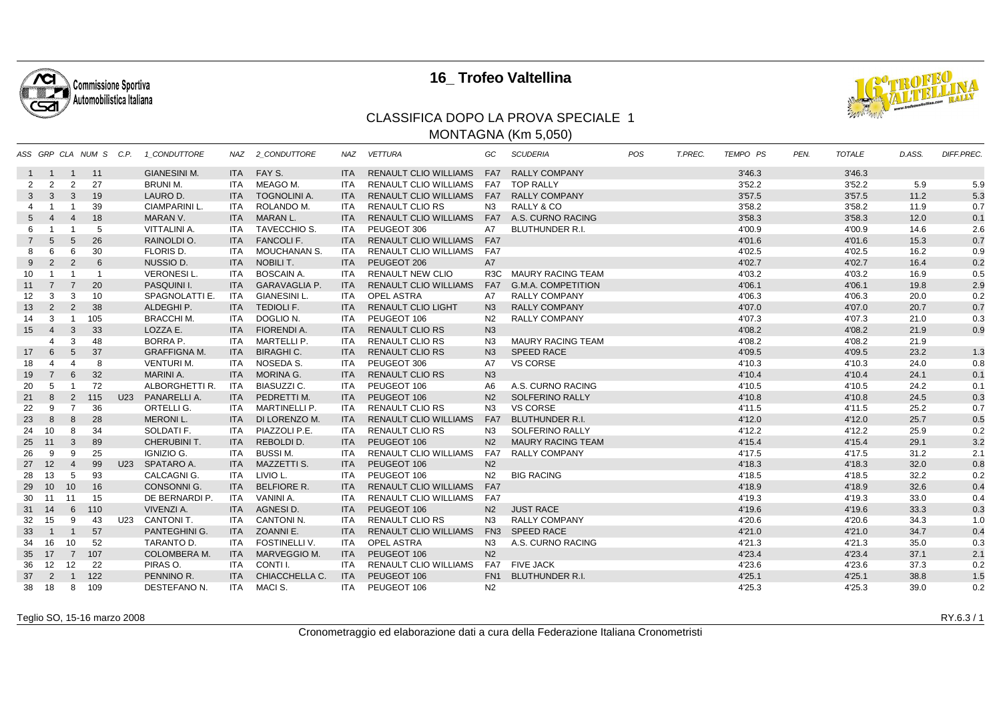

## **16\_ Trofeo Valtellina**



## CLASSIFICA DOPO LA PROVA SPECIALE 1MONTAGNA (Km 5,050)

|                |                |                 | ASS GRP CLA NUM S C.P. |     | 1 CONDUTTORE         |            | NAZ 2 CONDUTTORE       | <b>NAZ</b> | <b>VETTURA</b>               | GC             | <b>SCUDERIA</b>           | <b>POS</b> | T.PREC. | <b>TEMPO PS</b> | PEN. | <b>TOTALE</b> | D.ASS. | DIFF.PREC. |
|----------------|----------------|-----------------|------------------------|-----|----------------------|------------|------------------------|------------|------------------------------|----------------|---------------------------|------------|---------|-----------------|------|---------------|--------|------------|
| $\mathbf{1}$   | $\overline{1}$ | $\overline{1}$  | 11                     |     | <b>GIANESINI M.</b>  |            | ITA FAY S.             | ITA.       | RENAULT CLIO WILLIAMS FA7    |                | <b>RALLY COMPANY</b>      |            |         | 3'46.3          |      | 3'46.3        |        |            |
| 2              | 2              | 2               | 27                     |     | <b>BRUNI M.</b>      | ITA        | MEAGO M.               | ITA.       | <b>RENAULT CLIO WILLIAMS</b> | FA7            | <b>TOP RALLY</b>          |            |         | 3'52.2          |      | 3'52.2        | 5.9    | 5.9        |
| $\mathbf{3}$   | $\mathbf{3}$   | $\mathbf{3}$    | 19                     |     | LAURO D.             | <b>ITA</b> | <b>TOGNOLINI A.</b>    | <b>ITA</b> | RENAULT CLIO WILLIAMS FA7    |                | <b>RALLY COMPANY</b>      |            |         | 3'57.5          |      | 3'57.5        | 11.2   | 5.3        |
| 4              |                |                 | 39                     |     | <b>CIAMPARINI L.</b> | ITA        | ROLANDO M.             | <b>ITA</b> | <b>RENAULT CLIO RS</b>       | N <sub>3</sub> | RALLY & CO                |            |         | 3'58.2          |      | 3'58.2        | 11.9   | 0.7        |
| $5^{\circ}$    |                | $\overline{4}$  | 18                     |     | MARAN V.             | <b>ITA</b> | <b>MARAN L.</b>        | <b>ITA</b> | <b>RENAULT CLIO WILLIAMS</b> |                | FA7 A.S. CURNO RACING     |            |         | 3'58.3          |      | 3'58.3        | 12.0   | 0.1        |
| 6              |                |                 | -5                     |     | <b>VITTALINI A.</b>  | ITA        | TAVECCHIO S.           | ITA.       | PEUGEOT 306                  | A7             | <b>BLUTHUNDER R.I.</b>    |            |         | 4'00.9          |      | 4'00.9        | 14.6   | 2.6        |
| $\overline{7}$ | $\overline{5}$ | 5               | 26                     |     | RAINOLDI O.          | <b>ITA</b> | <b>FANCOLIF.</b>       | <b>ITA</b> | RENAULT CLIO WILLIAMS FA7    |                |                           |            |         | 4'01.6          |      | 4'01.6        | 15.3   | 0.7        |
| 8              |                | 6               | 30                     |     | FLORIS D.            | ITA        | <b>MOUCHANAN S.</b>    | ITA.       | <b>RENAULT CLIO WILLIAMS</b> | FA7            |                           |            |         | 4'02.5          |      | 4'02.5        | 16.2   | 0.9        |
| 9              | 2              | 2               | 6                      |     | NUSSIO D.            |            | ITA NOBILI T.          | <b>ITA</b> | PEUGEOT 206                  | A7             |                           |            |         | 4'02.7          |      | 4'02.7        | 16.4   | 0.2        |
| 10             |                | $\overline{1}$  | $\overline{1}$         |     | <b>VERONESIL.</b>    | ITA        | <b>BOSCAIN A.</b>      | ITA        | <b>RENAULT NEW CLIO</b>      |                | R3C MAURY RACING TEAM     |            |         | 4'03.2          |      | 4'03.2        | 16.9   | 0.5        |
| 11             | $\overline{7}$ | $\overline{7}$  | 20                     |     | PASQUINI I.          |            | ITA GARAVAGLIA P.      | <b>ITA</b> | <b>RENAULT CLIO WILLIAMS</b> | FA7            | <b>G.M.A. COMPETITION</b> |            |         | 4'06.1          |      | 4'06.1        | 19.8   | 2.9        |
| 12             | 3              | 3               | 10                     |     | SPAGNOLATTI E.       | ITA        | <b>GIANESINI L</b>     | ITA        | <b>OPEL ASTRA</b>            | A7             | <b>RALLY COMPANY</b>      |            |         | 4'06.3          |      | 4'06.3        | 20.0   | 0.2        |
| 13             | 2              | 2               | 38                     |     | ALDEGHI P.           | <b>ITA</b> | <b>TEDIOLI F.</b>      | <b>ITA</b> | <b>RENAULT CLIO LIGHT</b>    | N <sub>3</sub> | <b>RALLY COMPANY</b>      |            |         | 4'07.0          |      | 4'07.0        | 20.7   | 0.7        |
| 14             | 3              | $\overline{1}$  | 105                    |     | <b>BRACCHI M.</b>    | ITA        | DOGLIO N.              | <b>ITA</b> | PEUGEOT 106                  | N <sub>2</sub> | <b>RALLY COMPANY</b>      |            |         | 4'07.3          |      | 4'07.3        | 21.0   | 0.3        |
| 15             | $\overline{4}$ | $\mathbf{3}$    | 33                     |     | LOZZA E.             |            | ITA FIORENDI A.        | <b>ITA</b> | <b>RENAULT CLIO RS</b>       | N3             |                           |            |         | 4'08.2          |      | 4'08.2        | 21.9   | 0.9        |
|                |                | 3               | 48                     |     | BORRA P.             | ITA        | MARTELLI P.            | <b>ITA</b> | <b>RENAULT CLIO RS</b>       | N3             | <b>MAURY RACING TEAM</b>  |            |         | 4'08.2          |      | 4'08.2        | 21.9   |            |
| 17             | 6              | $5\phantom{.0}$ | 37                     |     | <b>GRAFFIGNA M.</b>  | <b>ITA</b> | <b>BIRAGHI C.</b>      | <b>ITA</b> | <b>RENAULT CLIO RS</b>       | N3             | <b>SPEED RACE</b>         |            |         | 4'09.5          |      | 4'09.5        | 23.2   | 1.3        |
| 18             | 4              | $\overline{4}$  | 8                      |     | <b>VENTURI M.</b>    | ITA        | NOSEDA S.              | <b>ITA</b> | PEUGEOT 306                  | A7             | <b>VS CORSE</b>           |            |         | 4'10.3          |      | 4'10.3        | 24.0   | 0.8        |
| 19             | $\overline{7}$ | $6\overline{6}$ | 32                     |     | <b>MARINI A.</b>     | <b>ITA</b> | MORINA G.              | <b>ITA</b> | <b>RENAULT CLIO RS</b>       | N3             |                           |            |         | 4'10.4          |      | 4'10.4        | 24.1   | 0.1        |
| 20             | 5              |                 | 72                     |     | ALBORGHETTI R.       | ITA        | <b>BIASUZZI C.</b>     | ITA.       | PEUGEOT 106                  | A <sub>6</sub> | A.S. CURNO RACING         |            |         | 4'10.5          |      | 4'10.5        | 24.2   | 0.1        |
| 21             | 8              | $\overline{2}$  | 115                    | U23 | PANARELLI A.         | <b>ITA</b> | PEDRETTI M.            | <b>ITA</b> | PEUGEOT 106                  | N2             | SOLFERINO RALLY           |            |         | 4'10.8          |      | 4'10.8        | 24.5   | 0.3        |
| 22             | 9              | $\overline{7}$  | 36                     |     | ORTELLI G.           | ITA        | <b>MARTINELLI P.</b>   | ITA.       | <b>RENAULT CLIO RS</b>       | N3             | <b>VS CORSE</b>           |            |         | 4'11.5          |      | 4'11.5        | 25.2   | 0.7        |
| 23             | 8              | 8               | 28                     |     | <b>MERONIL.</b>      |            | ITA DI LORENZO M.      | <b>ITA</b> | <b>RENAULT CLIO WILLIAMS</b> | FA7            | <b>BLUTHUNDER R.I.</b>    |            |         | 4'12.0          |      | 4'12.0        | 25.7   | 0.5        |
| 24             | 10             | -8              | 34                     |     | SOLDATI F.           | ITA        | PIAZZOLI P.E.          | ITA.       | <b>RENAULT CLIO RS</b>       | N3             | SOLFERINO RALLY           |            |         | 4'12.2          |      | 4'12.2        | 25.9   | 0.2        |
| 25             | 11             | $\mathbf{3}$    | 89                     |     | <b>CHERUBINI T.</b>  |            | ITA REBOLDI D.         | <b>ITA</b> | PEUGEOT 106                  | N <sub>2</sub> | <b>MAURY RACING TEAM</b>  |            |         | 4'15.4          |      | 4'15.4        | 29.1   | 3.2        |
| 26             | 9              | 9               | 25                     |     | IGNIZIO G.           | ITA        | <b>BUSSIM.</b>         | <b>ITA</b> | <b>RENAULT CLIO WILLIAMS</b> | FA7            | <b>RALLY COMPANY</b>      |            |         | 4'17.5          |      | 4'17.5        | 31.2   | 2.1        |
| 27             | 12             | $\overline{4}$  | 99                     |     | U23 SPATARO A.       |            | ITA MAZZETTI S.        | <b>ITA</b> | PEUGEOT 106                  | N <sub>2</sub> |                           |            |         | 4'18.3          |      | 4'18.3        | 32.0   | 0.8        |
| 28             | 13             | 5               | 93                     |     | CALCAGNI G.          | ITA        | LIVIO L.               | ITA.       | PEUGEOT 106                  | N <sub>2</sub> | <b>BIG RACING</b>         |            |         | 4'18.5          |      | 4'18.5        | 32.2   | 0.2        |
| 29             | 10             | 10              | 16                     |     | <b>CONSONNI G.</b>   | <b>ITA</b> | <b>BELFIORE R.</b>     | <b>ITA</b> | <b>RENAULT CLIO WILLIAMS</b> | FA7            |                           |            |         | 4'18.9          |      | 4'18.9        | 32.6   | 0.4        |
| 30             | 11             | 11              | 15                     |     | DE BERNARDI P.       | ITA        | VANINI A.              | <b>ITA</b> | RENAULT CLIO WILLIAMS        | FA7            |                           |            |         | 4'19.3          |      | 4'19.3        | 33.0   | 0.4        |
| 31             | 14             | 6               | 110                    |     | VIVENZI A.           | <b>ITA</b> | AGNESID.               | <b>ITA</b> | PEUGEOT 106                  | N2             | <b>JUST RACE</b>          |            |         | 4'19.6          |      | 4'19.6        | 33.3   | 0.3        |
| 32             | 15             | 9               | 43                     | U23 | CANTONI T.           | ITA        | CANTONI <sub>N</sub> . | <b>ITA</b> | <b>RENAULT CLIO RS</b>       | N3             | <b>RALLY COMPANY</b>      |            |         | 4'20.6          |      | 4'20.6        | 34.3   | 1.0        |
| 33             | $\overline{1}$ | $\mathbf{1}$    | 57                     |     | PANTEGHINI G.        | <b>ITA</b> | ZOANNI E.              | <b>ITA</b> | <b>RENAULT CLIO WILLIAMS</b> |                | FN3 SPEED RACE            |            |         | 4'21.0          |      | 4'21.0        | 34.7   | 0.4        |
| 34             | 16             | 10              | 52                     |     | TARANTO D.           | ITA        | <b>FOSTINELLI V.</b>   | ITA.       | <b>OPEL ASTRA</b>            | N <sub>3</sub> | A.S. CURNO RACING         |            |         | 4'21.3          |      | 4'21.3        | 35.0   | 0.3        |
| 35             | 17             | $\overline{7}$  | 107                    |     | <b>COLOMBERA M.</b>  | <b>ITA</b> | MARVEGGIO M.           | <b>ITA</b> | PEUGEOT 106                  | N <sub>2</sub> |                           |            |         | 4'23.4          |      | 4'23.4        | 37.1   | 2.1        |
| 36             | 12             | 12              | 22                     |     | PIRAS O.             | ITA        | CONTI I.               | ITA.       | <b>RENAULT CLIO WILLIAMS</b> |                | FA7 FIVE JACK             |            |         | 4'23.6          |      | 4'23.6        | 37.3   | 0.2        |
| 37             | $\overline{2}$ | $\overline{1}$  | 122                    |     | PENNINO R.           | <b>ITA</b> | CHIACCHELLA C.         | <b>ITA</b> | PEUGEOT 106                  |                | FN1 BLUTHUNDER R.I.       |            |         | 4'25.1          |      | 4'25.1        | 38.8   | 1.5        |
| 38             | 18             | 8               | 109                    |     | DESTEFANO N.         | ITA        | MACI S.                | ITA        | PEUGEOT 106                  | N <sub>2</sub> |                           |            |         | 4'25.3          |      | 4'25.3        | 39.0   | 0.2        |

Teglio SO, 15-16 marzo 2008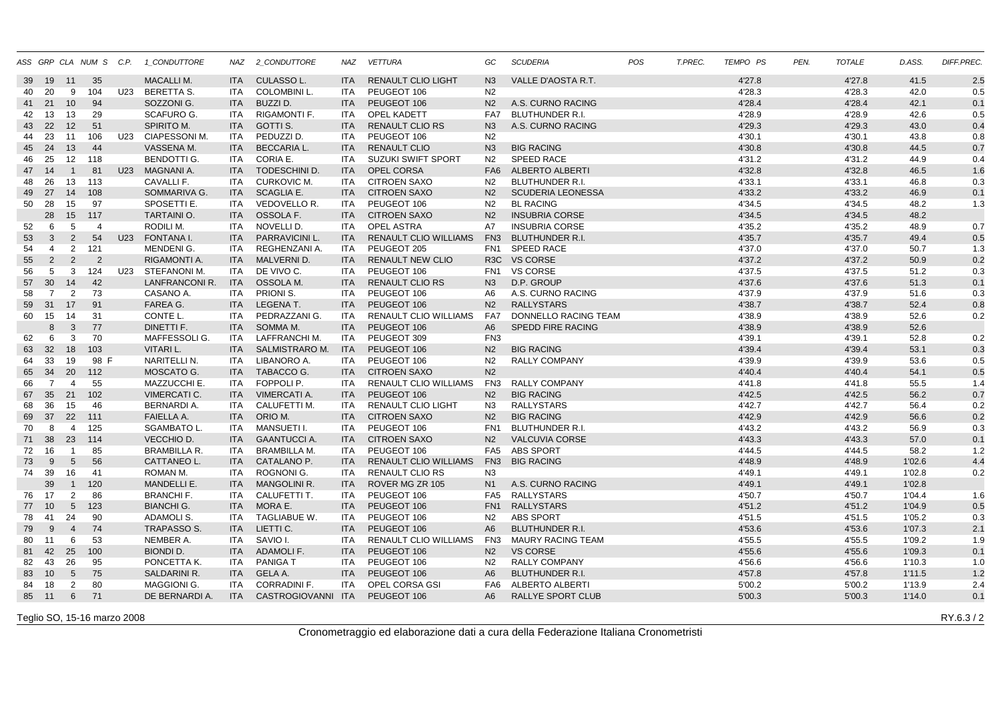|    |                |                 | ASS GRP CLA NUM S C.P. |     | 1_CONDUTTORE          |            | NAZ 2_CONDUTTORE     | NAZ        | <b>VETTURA</b>               | GC              | <b>SCUDERIA</b>          | POS | T.PREC. | TEMPO PS | PEN. | <b>TOTALE</b> | D.ASS. | DIFF.PREC. |
|----|----------------|-----------------|------------------------|-----|-----------------------|------------|----------------------|------------|------------------------------|-----------------|--------------------------|-----|---------|----------|------|---------------|--------|------------|
| 39 | 19             | 11              | 35                     |     | <b>MACALLIM.</b>      | <b>ITA</b> | <b>CULASSOL.</b>     | <b>ITA</b> | <b>RENAULT CLIO LIGHT</b>    | N <sub>3</sub>  | VALLE D'AOSTA R.T.       |     |         | 4'27.8   |      | 4'27.8        | 41.5   | 2.5        |
| 40 | 20             | 9               | 104                    | U23 | BERETTA S.            | <b>ITA</b> | <b>COLOMBINI L.</b>  | <b>ITA</b> | PEUGEOT 106                  | N <sub>2</sub>  |                          |     |         | 4'28.3   |      | 4'28.3        | 42.0   | 0.5        |
| 41 | 21             | 10              | 94                     |     | SOZZONI G.            | <b>ITA</b> | BUZZI D.             | <b>ITA</b> | PEUGEOT 106                  | N <sub>2</sub>  | A.S. CURNO RACING        |     |         | 4'28.4   |      | 4'28.4        | 42.1   | 0.1        |
| 42 | 13             | 13              | 29                     |     | <b>SCAFURO G.</b>     | ITA        | RIGAMONTI F.         | <b>ITA</b> | <b>OPEL KADETT</b>           | FA7             | <b>BLUTHUNDER R.I.</b>   |     |         | 4'28.9   |      | 4'28.9        | 42.6   | 0.5        |
| 43 | 22             | 12              | 51                     |     | <b>SPIRITO M.</b>     | <b>ITA</b> | GOTTI S.             | <b>ITA</b> | <b>RENAULT CLIO RS</b>       | N <sub>3</sub>  | A.S. CURNO RACING        |     |         | 4'29.3   |      | 4'29.3        | 43.0   | 0.4        |
| 44 | 23             | 11              | 106                    | U23 | CIAPESSONI M.         | ITA        | PEDUZZI D.           | <b>ITA</b> | PEUGEOT 106                  | N <sub>2</sub>  |                          |     |         | 4'30.1   |      | 4'30.1        | 43.8   | 0.8        |
| 45 | 24             | 13              | 44                     |     | VASSENA M.            | <b>ITA</b> | <b>BECCARIA L.</b>   | <b>ITA</b> | <b>RENAULT CLIO</b>          | N3              | <b>BIG RACING</b>        |     |         | 4'30.8   |      | 4'30.8        | 44.5   | 0.7        |
| 46 | 25             | 12 <sup>2</sup> | 118                    |     | <b>BENDOTTI G.</b>    | ITA        | CORIA E.             | <b>ITA</b> | <b>SUZUKI SWIFT SPORT</b>    | N <sub>2</sub>  | <b>SPEED RACE</b>        |     |         | 4'31.2   |      | 4'31.2        | 44.9   | 0.4        |
| 47 | 14             | $\overline{1}$  | 81                     | U23 | MAGNANI A.            | <b>ITA</b> | TODESCHINI D.        | <b>ITA</b> | OPEL CORSA                   | FA <sub>6</sub> | <b>ALBERTO ALBERTI</b>   |     |         | 4'32.8   |      | 4'32.8        | 46.5   | 1.6        |
| 48 | 26             | 13              | 113                    |     | CAVALLI F.            | <b>ITA</b> | <b>CURKOVIC M.</b>   | <b>ITA</b> | <b>CITROEN SAXO</b>          | N <sub>2</sub>  | <b>BLUTHUNDER R.I.</b>   |     |         | 4'33.1   |      | 4'33.1        | 46.8   | 0.3        |
| 49 | 27             | 14              | 108                    |     | SOMMARIVA G.          | <b>ITA</b> | <b>SCAGLIA E.</b>    | <b>ITA</b> | <b>CITROEN SAXO</b>          | N <sub>2</sub>  | <b>SCUDERIA LEONESSA</b> |     |         | 4'33.2   |      | 4'33.2        | 46.9   | 0.1        |
| 50 | 28             | 15              | 97                     |     | SPOSETTI E.           | ITA        | VEDOVELLO R.         | <b>ITA</b> | PEUGEOT 106                  | N2              | <b>BL RACING</b>         |     |         | 4'34.5   |      | 4'34.5        | 48.2   | 1.3        |
|    | 28             | 15              | 117                    |     | <b>TARTAINIO.</b>     | <b>ITA</b> | OSSOLA F.            | <b>ITA</b> | <b>CITROEN SAXO</b>          | N <sub>2</sub>  | <b>INSUBRIA CORSE</b>    |     |         | 4'34.5   |      | 4'34.5        | 48.2   |            |
| 52 | 6              | 5               | $\overline{4}$         |     | RODILI M.             | <b>ITA</b> | NOVELLI D.           | <b>ITA</b> | OPEL ASTRA                   | A7              | <b>INSUBRIA CORSE</b>    |     |         | 4'35.2   |      | 4'35.2        | 48.9   | 0.7        |
| 53 | 3              | 2               | 54                     | U23 | FONTANA I.            | <b>ITA</b> | <b>PARRAVICINI L</b> | <b>ITA</b> | <b>RENAULT CLIO WILLIAMS</b> | FN <sub>3</sub> | <b>BLUTHUNDER R.I.</b>   |     |         | 4'35.7   |      | 4'35.7        | 49.4   | 0.5        |
| 54 | $\overline{4}$ | 2               | 121                    |     | MENDENI G.            | ITA        | REGHENZANI A.        | <b>ITA</b> | PEUGEOT 205                  | FN <sub>1</sub> | <b>SPEED RACE</b>        |     |         | 4'37.0   |      | 4'37.0        | 50.7   | 1.3        |
| 55 | 2              | 2               | $\overline{2}$         |     | RIGAMONTI A.          | <b>ITA</b> | MALVERNI D.          | <b>ITA</b> | <b>RENAULT NEW CLIO</b>      |                 | R3C VS CORSE             |     |         | 4'37.2   |      | 4'37.2        | 50.9   | 0.2        |
| 56 | 5              | 3               | 124                    | U23 | STEFANONI M.          | ITA        | DE VIVO C.           | <b>ITA</b> | PEUGEOT 106                  | FN <sub>1</sub> | <b>VS CORSE</b>          |     |         | 4'37.5   |      | 4'37.5        | 51.2   | 0.3        |
| 57 | 30             | 14              | 42                     |     | <b>LANFRANCONI R.</b> | <b>ITA</b> | OSSOLA M.            | <b>ITA</b> | <b>RENAULT CLIO RS</b>       | N3              | D.P. GROUP               |     |         | 4'37.6   |      | 4'37.6        | 51.3   | 0.1        |
| 58 | $\overline{7}$ | 2               | 73                     |     | CASANO A.             | ITA        | PRIONI S.            | <b>ITA</b> | PEUGEOT 106                  | A6              | A.S. CURNO RACING        |     |         | 4'37.9   |      | 4'37.9        | 51.6   | 0.3        |
| 59 | 31             | 17              | 91                     |     | FAREA G.              | <b>ITA</b> | <b>LEGENAT.</b>      | <b>ITA</b> | PEUGEOT 106                  | N2              | <b>RALLYSTARS</b>        |     |         | 4'38.7   |      | 4'38.7        | 52.4   | 0.8        |
| 60 | 15             | 14              | 31                     |     | CONTE L.              | ITA        | PEDRAZZANI G.        | ITA        | RENAULT CLIO WILLIAMS        | FA7             | DONNELLO RACING TEAM     |     |         | 4'38.9   |      | 4'38.9        | 52.6   | 0.2        |
|    | 8              | $\mathbf{3}$    | 77                     |     | DINETTI F.            | <b>ITA</b> | SOMMA M.             | <b>ITA</b> | PEUGEOT 106                  | A <sub>6</sub>  | <b>SPEDD FIRE RACING</b> |     |         | 4'38.9   |      | 4'38.9        | 52.6   |            |
| 62 | 6              | 3               | 70                     |     | MAFFESSOLI G.         | ITA        | <b>LAFFRANCHI M.</b> | <b>ITA</b> | PEUGEOT 309                  | FN <sub>3</sub> |                          |     |         | 4'39.1   |      | 4'39.1        | 52.8   | 0.2        |
| 63 | 32             | 18              | 103                    |     | <b>VITARI L.</b>      | <b>ITA</b> | SALMISTRARO M.       | <b>ITA</b> | PEUGEOT 106                  | N2              | <b>BIG RACING</b>        |     |         | 4'39.4   |      | 4'39.4        | 53.1   | 0.3        |
| 64 | 33             | 19              | 98 F                   |     | NARITELLI N.          | ITA        | LIBANORO A.          | ITA.       | PEUGEOT 106                  | N2              | <b>RALLY COMPANY</b>     |     |         | 4'39.9   |      | 4'39.9        | 53.6   | 0.5        |
| 65 | 34             | 20              | 112                    |     | MOSCATO G.            | <b>ITA</b> | TABACCO G.           | <b>ITA</b> | <b>CITROEN SAXO</b>          | N <sub>2</sub>  |                          |     |         | 4'40.4   |      | 4'40.4        | 54.1   | 0.5        |
| 66 | $\overline{7}$ | $\overline{4}$  | 55                     |     | <b>MAZZUCCHI E.</b>   | ITA        | FOPPOLI P.           | <b>ITA</b> | <b>RENAULT CLIO WILLIAMS</b> | FN3             | <b>RALLY COMPANY</b>     |     |         | 4'41.8   |      | 4'41.8        | 55.5   | 1.4        |
| 67 | 35             | 21              | 102                    |     | <b>VIMERCATI C.</b>   | <b>ITA</b> | <b>VIMERCATI A.</b>  | <b>ITA</b> | PEUGEOT 106                  | N <sub>2</sub>  | <b>BIG RACING</b>        |     |         | 4'42.5   |      | 4'42.5        | 56.2   | 0.7        |
| 68 | 36             | 15              | 46                     |     | <b>BERNARDI A.</b>    | ITA        | <b>CALUFETTI M.</b>  | <b>ITA</b> | <b>RENAULT CLIO LIGHT</b>    | N3              | <b>RALLYSTARS</b>        |     |         | 4'42.7   |      | 4'42.7        | 56.4   | 0.2        |
| 69 | 37             | 22              | 111                    |     | <b>FAIELLA A.</b>     | <b>ITA</b> | ORIO M.              | <b>ITA</b> | <b>CITROEN SAXO</b>          | N <sub>2</sub>  | <b>BIG RACING</b>        |     |         | 4'42.9   |      | 4'42.9        | 56.6   | 0.2        |
| 70 | 8              | $\overline{4}$  | 125                    |     | <b>SGAMBATO L.</b>    | ITA        | MANSUETI I.          | <b>ITA</b> | PEUGEOT 106                  | FN <sub>1</sub> | <b>BLUTHUNDER R.I.</b>   |     |         | 4'43.2   |      | 4'43.2        | 56.9   | 0.3        |
| 71 | 38             | 23              | 114                    |     | VECCHIO D.            | <b>ITA</b> | <b>GAANTUCCIA.</b>   | <b>ITA</b> | <b>CITROEN SAXO</b>          | N <sub>2</sub>  | <b>VALCUVIA CORSE</b>    |     |         | 4'43.3   |      | 4'43.3        | 57.0   | 0.1        |
| 72 | 16             | $\overline{1}$  | 85                     |     | <b>BRAMBILLA R.</b>   | ITA        | <b>BRAMBILLA M.</b>  | <b>ITA</b> | PEUGEOT 106                  |                 | FA5 ABS SPORT            |     |         | 4'44.5   |      | 4'44.5        | 58.2   | 1.2        |
| 73 | 9              | $5\overline{)}$ | 56                     |     | CATTANEO L.           | <b>ITA</b> | CATALANO P.          | <b>ITA</b> | <b>RENAULT CLIO WILLIAMS</b> |                 | FN3 BIG RACING           |     |         | 4'48.9   |      | 4'48.9        | 1'02.6 | 4.4        |
| 74 | 39             | 16              | 41                     |     | ROMAN M.              | ITA        | ROGNONI G.           | <b>ITA</b> | <b>RENAULT CLIO RS</b>       | N3              |                          |     |         | 4'49.1   |      | 4'49.1        | 1'02.8 | 0.2        |
|    | 39             | $\overline{1}$  | 120                    |     | MANDELLI E.           | <b>ITA</b> | <b>MANGOLINI R.</b>  | <b>ITA</b> | ROVER MG ZR 105              | N <sub>1</sub>  | A.S. CURNO RACING        |     |         | 4'49.1   |      | 4'49.1        | 1'02.8 |            |
| 76 | 17             | 2               | 86                     |     | <b>BRANCHIF.</b>      | ITA        | CALUFETTI T.         | <b>ITA</b> | PEUGEOT 106                  |                 | FA5 RALLYSTARS           |     |         | 4'50.7   |      | 4'50.7        | 1'04.4 | 1.6        |
| 77 | 10             | $5\overline{)}$ | 123                    |     | <b>BIANCHI G.</b>     | <b>ITA</b> | MORA E.              | <b>ITA</b> | PEUGEOT 106                  |                 | FN1 RALLYSTARS           |     |         | 4'51.2   |      | 4'51.2        | 1'04.9 | 0.5        |
| 78 | 41             | 24              | 90                     |     | ADAMOLI S.            | <b>ITA</b> | TAGLIABUE W.         | <b>ITA</b> | PEUGEOT 106                  | N <sub>2</sub>  | <b>ABS SPORT</b>         |     |         | 4'51.5   |      | 4'51.5        | 1'05.2 | 0.3        |
| 79 | 9              | $\overline{4}$  | 74                     |     | <b>TRAPASSO S.</b>    | <b>ITA</b> | LIETTI C.            | <b>ITA</b> | PEUGEOT 106                  | A <sub>6</sub>  | <b>BLUTHUNDER R.I.</b>   |     |         | 4'53.6   |      | 4'53.6        | 1'07.3 | 2.1        |
| 80 | 11             | 6               | 53                     |     | NEMBER A.             | <b>ITA</b> | SAVIO I.             | <b>ITA</b> | RENAULT CLIO WILLIAMS        | FN3             | <b>MAURY RACING TEAM</b> |     |         | 4'55.5   |      | 4'55.5        | 1'09.2 | 1.9        |
| 81 | 42             | 25              | 100                    |     | <b>BIONDI D.</b>      | <b>ITA</b> | ADAMOLI F.           | <b>ITA</b> | PEUGEOT 106                  | N2              | <b>VS CORSE</b>          |     |         | 4'55.6   |      | 4'55.6        | 1'09.3 | 0.1        |
| 82 | 43             | 26              | 95                     |     | PONCETTA K.           | ITA        | <b>PANIGAT</b>       | ITA        | PEUGEOT 106                  | N <sub>2</sub>  | <b>RALLY COMPANY</b>     |     |         | 4'56.6   |      | 4'56.6        | 1'10.3 | 1.0        |
| 83 | 10             | $5\overline{)}$ | 75                     |     | <b>SALDARINI R.</b>   | <b>ITA</b> | <b>GELA A.</b>       | <b>ITA</b> | PEUGEOT 106                  | A <sub>6</sub>  | <b>BLUTHUNDER R.I.</b>   |     |         | 4'57.8   |      | 4'57.8        | 1'11.5 | 1.2        |
| 84 | 18             | $\overline{2}$  | 80                     |     | MAGGIONI G.           | <b>ITA</b> | <b>CORRADINI F.</b>  | <b>ITA</b> | OPEL CORSA GSI               |                 | FA6 ALBERTO ALBERTI      |     |         | 5'00.2   |      | 5'00.2        | 1'13.9 | 2.4        |
| 85 | 11             | 6               | 71                     |     | DE BERNARDI A.        | <b>ITA</b> | CASTROGIOVANNI ITA   |            | PEUGEOT 106                  | A6              | <b>RALLYE SPORT CLUB</b> |     |         | 5'00.3   |      | 5'00.3        | 1'14.0 | 0.1        |
|    |                |                 |                        |     |                       |            |                      |            |                              |                 |                          |     |         |          |      |               |        |            |

Teglio SO, 15-16 marzo 2008

Cronometraggio ed elaborazione dati a cura della Federazione Italiana Cronometristi

 $8$  and the contract of the contract of the contract of the contract of the contract of the contract of the contract of the contract of the contract of the contract of the contract of the contract of the contract of the c